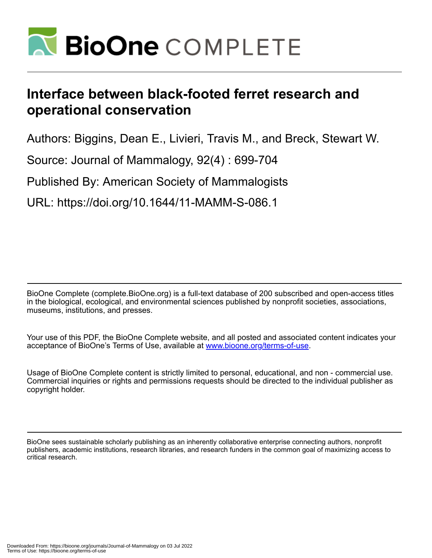

# **Interface between black-footed ferret research and operational conservation**

Authors: Biggins, Dean E., Livieri, Travis M., and Breck, Stewart W.

Source: Journal of Mammalogy, 92(4) : 699-704

Published By: American Society of Mammalogists

URL: https://doi.org/10.1644/11-MAMM-S-086.1

BioOne Complete (complete.BioOne.org) is a full-text database of 200 subscribed and open-access titles in the biological, ecological, and environmental sciences published by nonprofit societies, associations, museums, institutions, and presses.

Your use of this PDF, the BioOne Complete website, and all posted and associated content indicates your acceptance of BioOne's Terms of Use, available at www.bioone.org/terms-of-use.

Usage of BioOne Complete content is strictly limited to personal, educational, and non - commercial use. Commercial inquiries or rights and permissions requests should be directed to the individual publisher as copyright holder.

BioOne sees sustainable scholarly publishing as an inherently collaborative enterprise connecting authors, nonprofit publishers, academic institutions, research libraries, and research funders in the common goal of maximizing access to critical research.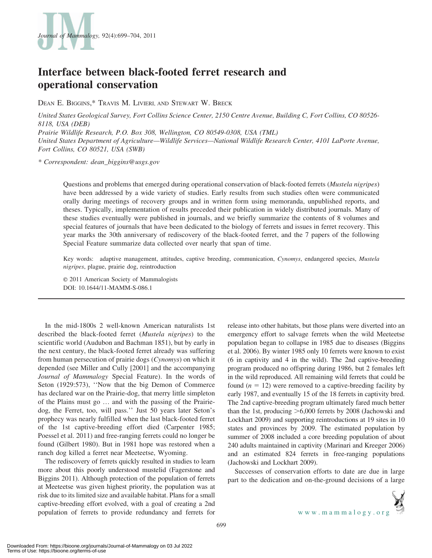

# Interface between black-footed ferret research and operational conservation

DEAN E. BIGGINS,\* TRAVIS M. LIVIERI, AND STEWART W. BRECK

United States Geological Survey, Fort Collins Science Center, 2150 Centre Avenue, Building C, Fort Collins, CO 80526- 8118, USA (DEB)

Prairie Wildlife Research, P.O. Box 308, Wellington, CO 80549-0308, USA (TML)

United States Department of Agriculture—Wildlife Services—National Wildlife Research Center, 4101 LaPorte Avenue, Fort Collins, CO 80521, USA (SWB)

\* Correspondent: dean\_biggins@usgs.gov

Questions and problems that emerged during operational conservation of black-footed ferrets (Mustela nigripes) have been addressed by a wide variety of studies. Early results from such studies often were communicated orally during meetings of recovery groups and in written form using memoranda, unpublished reports, and theses. Typically, implementation of results preceded their publication in widely distributed journals. Many of these studies eventually were published in journals, and we briefly summarize the contents of 8 volumes and special features of journals that have been dedicated to the biology of ferrets and issues in ferret recovery. This year marks the 30th anniversary of rediscovery of the black-footed ferret, and the 7 papers of the following Special Feature summarize data collected over nearly that span of time.

Key words: adaptive management, attitudes, captive breeding, communication, Cynomys, endangered species, Mustela nigripes, plague, prairie dog, reintroduction

E 2011 American Society of Mammalogists DOI: 10.1644/11-MAMM-S-086.1

In the mid-1800s 2 well-known American naturalists 1st described the black-footed ferret (Mustela nigripes) to the scientific world (Audubon and Bachman 1851), but by early in the next century, the black-footed ferret already was suffering from human persecution of prairie dogs (Cynomys) on which it depended (see Miller and Cully [2001] and the accompanying Journal of Mammalogy Special Feature). In the words of Seton (1929:573), ''Now that the big Demon of Commerce has declared war on the Prairie-dog, that merry little simpleton of the Plains must go … and with the passing of the Prairiedog, the Ferret, too, will pass.'' Just 50 years later Seton's prophecy was nearly fulfilled when the last black-footed ferret of the 1st captive-breeding effort died (Carpenter 1985; Poessel et al. 2011) and free-ranging ferrets could no longer be found (Gilbert 1980). But in 1981 hope was restored when a ranch dog killed a ferret near Meeteetse, Wyoming.

The rediscovery of ferrets quickly resulted in studies to learn more about this poorly understood mustelid (Fagerstone and Biggins 2011). Although protection of the population of ferrets at Meeteetse was given highest priority, the population was at risk due to its limited size and available habitat. Plans for a small captive-breeding effort evolved, with a goal of creating a 2nd population of ferrets to provide redundancy and ferrets for release into other habitats, but those plans were diverted into an emergency effort to salvage ferrets when the wild Meeteetse population began to collapse in 1985 due to diseases (Biggins et al. 2006). By winter 1985 only 10 ferrets were known to exist (6 in captivity and 4 in the wild). The 2nd captive-breeding program produced no offspring during 1986, but 2 females left in the wild reproduced. All remaining wild ferrets that could be found  $(n = 12)$  were removed to a captive-breeding facility by early 1987, and eventually 15 of the 18 ferrets in captivity bred. The 2nd captive-breeding program ultimately fared much better than the 1st, producing  $>6,000$  ferrets by 2008 (Jachowski and Lockhart 2009) and supporting reintroductions at 19 sites in 10 states and provinces by 2009. The estimated population by summer of 2008 included a core breeding population of about 240 adults maintained in captivity (Marinari and Kreeger 2006) and an estimated 824 ferrets in free-ranging populations (Jachowski and Lockhart 2009).

Successes of conservation efforts to date are due in large part to the dedication and on-the-ground decisions of a large

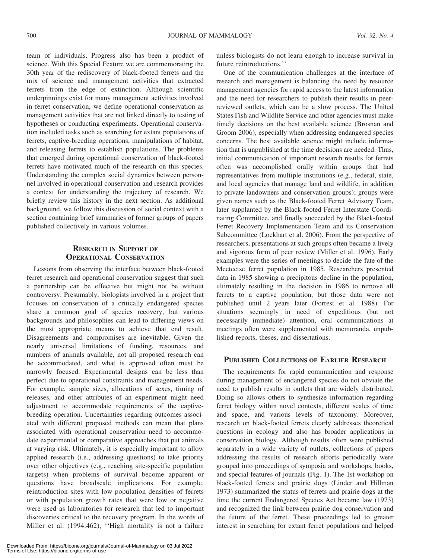team of individuals. Progress also has been a product of science. With this Special Feature we are commemorating the 30th year of the rediscovery of black-footed ferrets and the mix of science and management activities that extracted ferrets from the edge of extinction. Although scientific underpinnings exist for many management activities involved in ferret conservation, we define operational conservation as management activities that are not linked directly to testing of hypotheses or conducting experiments. Operational conservation included tasks such as searching for extant populations of ferrets, captive-breeding operations, manipulations of habitat, and releasing ferrets to establish populations. The problems that emerged during operational conservation of black-footed ferrets have motivated much of the research on this species. Understanding the complex social dynamics between personnel involved in operational conservation and research provides a context for understanding the trajectory of research. We briefly review this history in the next section. As additional background, we follow this discussion of social context with a section containing brief summaries of former groups of papers published collectively in various volumes.

#### RESEARCH IN SUPPORT OF OPERATIONAL CONSERVATION

Lessons from observing the interface between black-footed ferret research and operational conservation suggest that such a partnership can be effective but might not be without controversy. Presumably, biologists involved in a project that focuses on conservation of a critically endangered species share a common goal of species recovery, but various backgrounds and philosophies can lead to differing views on the most appropriate means to achieve that end result. Disagreements and compromises are inevitable. Given the nearly universal limitations of funding, resources, and numbers of animals available, not all proposed research can be accommodated, and what is approved often must be narrowly focused. Experimental designs can be less than perfect due to operational constraints and management needs. For example, sample sizes, allocations of sexes, timing of releases, and other attributes of an experiment might need adjustment to accommodate requirements of the captivebreeding operation. Uncertainties regarding outcomes associated with different proposed methods can mean that plans associated with operational conservation need to accommodate experimental or comparative approaches that put animals at varying risk. Ultimately, it is especially important to allow applied research (i.e., addressing questions) to take priority over other objectives (e.g., reaching site-specific population targets) when problems of survival become apparent or questions have broadscale implications. For example, reintroduction sites with low population densities of ferrets or with population growth rates that were low or negative were used as laboratories for research that led to important discoveries critical to the recovery program. In the words of Miller et al. (1994:462), ''High mortality is not a failure unless biologists do not learn enough to increase survival in future reintroductions."

One of the communication challenges at the interface of research and management is balancing the need by resource management agencies for rapid access to the latest information and the need for researchers to publish their results in peerreviewed outlets, which can be a slow process. The United States Fish and Wildlife Service and other agencies must make timely decisions on the best available science (Brosnan and Groom 2006), especially when addressing endangered species concerns. The best available science might include information that is unpublished at the time decisions are needed. Thus, initial communication of important research results for ferrets often was accomplished orally within groups that had representatives from multiple institutions (e.g., federal, state, and local agencies that manage land and wildlife, in addition to private landowners and conservation groups); groups were given names such as the Black-footed Ferret Advisory Team, later supplanted by the Black-footed Ferret Interstate Coordinating Committee, and finally succeeded by the Black-footed Ferret Recovery Implementation Team and its Conservation Subcommittee (Lockhart et al. 2006). From the perspective of researchers, presentations at such groups often became a lively and vigorous form of peer review (Miller et al. 1996). Early examples were the series of meetings to decide the fate of the Meeteetse ferret population in 1985. Researchers presented data in 1985 showing a precipitous decline in the population, ultimately resulting in the decision in 1986 to remove all ferrets to a captive population, but those data were not published until 2 years later (Forrest et al. 1988). For situations seemingly in need of expeditious (but not necessarily immediate) attention, oral communications at meetings often were supplemented with memoranda, unpublished reports, theses, and dissertations.

## PUBLISHED COLLECTIONS OF EARLIER RESEARCH

The requirements for rapid communication and response during management of endangered species do not obviate the need to publish results in outlets that are widely distributed. Doing so allows others to synthesize information regarding ferret biology within novel contexts, different scales of time and space, and various levels of taxonomy. Moreover, research on black-footed ferrets clearly addresses theoretical questions in ecology and also has broader applications in conservation biology. Although results often were published separately in a wide variety of outlets, collections of papers addressing the results of research efforts periodically were grouped into proceedings of symposia and workshops, books, and special features of journals (Fig. 1). The 1st workshop on black-footed ferrets and prairie dogs (Linder and Hillman 1973) summarized the status of ferrets and prairie dogs at the time the current Endangered Species Act became law (1973) and recognized the link between prairie dog conservation and the future of the ferret. These proceedings led to greater interest in searching for extant ferret populations and helped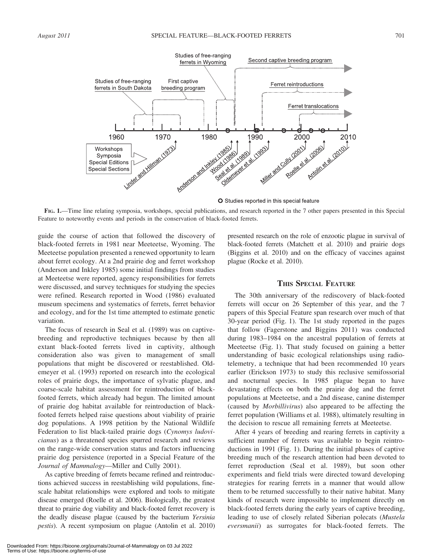

O Studies reported in this special feature

FIG. 1.—Time line relating symposia, workshops, special publications, and research reported in the 7 other papers presented in this Special Feature to noteworthy events and periods in the conservation of black-footed ferrets.

guide the course of action that followed the discovery of black-footed ferrets in 1981 near Meeteetse, Wyoming. The Meeteetse population presented a renewed opportunity to learn about ferret ecology. At a 2nd prairie dog and ferret workshop (Anderson and Inkley 1985) some initial findings from studies at Meeteetse were reported, agency responsibilities for ferrets were discussed, and survey techniques for studying the species were refined. Research reported in Wood (1986) evaluated museum specimens and systematics of ferrets, ferret behavior and ecology, and for the 1st time attempted to estimate genetic variation.

The focus of research in Seal et al. (1989) was on captivebreeding and reproductive techniques because by then all extant black-footed ferrets lived in captivity, although consideration also was given to management of small populations that might be discovered or reestablished. Oldemeyer et al. (1993) reported on research into the ecological roles of prairie dogs, the importance of sylvatic plague, and coarse-scale habitat assessment for reintroduction of blackfooted ferrets, which already had begun. The limited amount of prairie dog habitat available for reintroduction of blackfooted ferrets helped raise questions about viability of prairie dog populations. A 1998 petition by the National Wildlife Federation to list black-tailed prairie dogs (Cynomys ludovicianus) as a threatened species spurred research and reviews on the range-wide conservation status and factors influencing prairie dog persistence (reported in a Special Feature of the Journal of Mammalogy—Miller and Cully 2001).

As captive breeding of ferrets became refined and reintroductions achieved success in reestablishing wild populations, finescale habitat relationships were explored and tools to mitigate disease emerged (Roelle et al. 2006). Biologically, the greatest threat to prairie dog viability and black-footed ferret recovery is the deadly disease plague (caused by the bacterium Yersinia pestis). A recent symposium on plague (Antolin et al. 2010)

Downloaded From: https://bioone.org/journals/Journal-of-Mammalogy on 03 Jul 2022 Terms of Use: https://bioone.org/terms-of-use

presented research on the role of enzootic plague in survival of black-footed ferrets (Matchett et al. 2010) and prairie dogs (Biggins et al. 2010) and on the efficacy of vaccines against plague (Rocke et al. 2010).

### THIS SPECIAL FEATURE

The 30th anniversary of the rediscovery of black-footed ferrets will occur on 26 September of this year, and the 7 papers of this Special Feature span research over much of that 30-year period (Fig. 1). The 1st study reported in the pages that follow (Fagerstone and Biggins 2011) was conducted during 1983–1984 on the ancestral population of ferrets at Meeteetse (Fig. 1). That study focused on gaining a better understanding of basic ecological relationships using radiotelemetry, a technique that had been recommended 10 years earlier (Erickson 1973) to study this reclusive semifossorial and nocturnal species. In 1985 plague began to have devastating effects on both the prairie dog and the ferret populations at Meeteetse, and a 2nd disease, canine distemper (caused by Morbillivirus) also appeared to be affecting the ferret population (Williams et al. 1988), ultimately resulting in the decision to rescue all remaining ferrets at Meeteetse.

After 4 years of breeding and rearing ferrets in captivity a sufficient number of ferrets was available to begin reintroductions in 1991 (Fig. 1). During the initial phases of captive breeding much of the research attention had been devoted to ferret reproduction (Seal et al. 1989), but soon other experiments and field trials were directed toward developing strategies for rearing ferrets in a manner that would allow them to be returned successfully to their native habitat. Many kinds of research were impossible to implement directly on black-footed ferrets during the early years of captive breeding, leading to use of closely related Siberian polecats (Mustela eversmanii) as surrogates for black-footed ferrets. The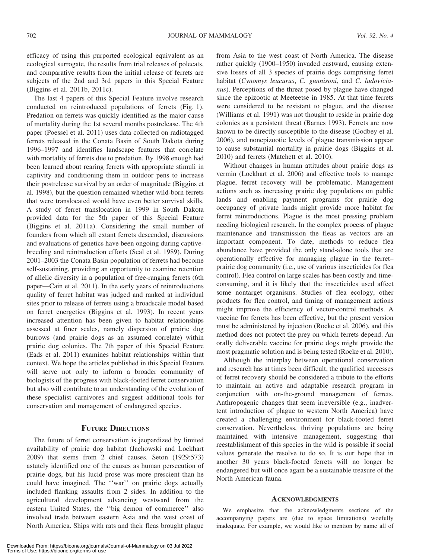efficacy of using this purported ecological equivalent as an ecological surrogate, the results from trial releases of polecats, and comparative results from the initial release of ferrets are subjects of the 2nd and 3rd papers in this Special Feature (Biggins et al. 2011b, 2011c).

The last 4 papers of this Special Feature involve research conducted on reintroduced populations of ferrets (Fig. 1). Predation on ferrets was quickly identified as the major cause of mortality during the 1st several months postrelease. The 4th paper (Poessel et al. 2011) uses data collected on radiotagged ferrets released in the Conata Basin of South Dakota during 1996–1997 and identifies landscape features that correlate with mortality of ferrets due to predation. By 1998 enough had been learned about rearing ferrets with appropriate stimuli in captivity and conditioning them in outdoor pens to increase their postrelease survival by an order of magnitude (Biggins et al. 1998), but the question remained whether wild-born ferrets that were translocated would have even better survival skills. A study of ferret translocation in 1999 in South Dakota provided data for the 5th paper of this Special Feature (Biggins et al. 2011a). Considering the small number of founders from which all extant ferrets descended, discussions and evaluations of genetics have been ongoing during captivebreeding and reintroduction efforts (Seal et al. 1989). During 2001–2003 the Conata Basin population of ferrets had become self-sustaining, providing an opportunity to examine retention of allelic diversity in a population of free-ranging ferrets (6th paper—Cain et al. 2011). In the early years of reintroductions quality of ferret habitat was judged and ranked at individual sites prior to release of ferrets using a broadscale model based on ferret energetics (Biggins et al. 1993). In recent years increased attention has been given to habitat relationships assessed at finer scales, namely dispersion of prairie dog burrows (and prairie dogs as an assumed correlate) within prairie dog colonies. The 7th paper of this Special Feature (Eads et al. 2011) examines habitat relationships within that context. We hope the articles published in this Special Feature will serve not only to inform a broader community of biologists of the progress with black-footed ferret conservation but also will contribute to an understanding of the evolution of these specialist carnivores and suggest additional tools for conservation and management of endangered species.

#### FUTURE DIRECTIONS

The future of ferret conservation is jeopardized by limited availability of prairie dog habitat (Jachowski and Lockhart 2009) that stems from 2 chief causes. Seton (1929:573) astutely identified one of the causes as human persecution of prairie dogs, but his lucid prose was more prescient than he could have imagined. The ''war'' on prairie dogs actually included flanking assaults from 2 sides. In addition to the agricultural development advancing westward from the eastern United States, the ''big demon of commerce'' also involved trade between eastern Asia and the west coast of North America. Ships with rats and their fleas brought plague

from Asia to the west coast of North America. The disease rather quickly (1900–1950) invaded eastward, causing extensive losses of all 3 species of prairie dogs comprising ferret habitat (Cynomys leucurus, C. gunnisoni, and C. ludovicianus). Perceptions of the threat posed by plague have changed since the epizootic at Meeteetse in 1985. At that time ferrets were considered to be resistant to plague, and the disease (Williams et al. 1991) was not thought to reside in prairie dog colonies as a persistent threat (Barnes 1993). Ferrets are now known to be directly susceptible to the disease (Godbey et al. 2006), and nonepizootic levels of plague transmission appear to cause substantial mortality in prairie dogs (Biggins et al. 2010) and ferrets (Matchett et al. 2010).

Without changes in human attitudes about prairie dogs as vermin (Lockhart et al. 2006) and effective tools to manage plague, ferret recovery will be problematic. Management actions such as increasing prairie dog populations on public lands and enabling payment programs for prairie dog occupancy of private lands might provide more habitat for ferret reintroductions. Plague is the most pressing problem needing biological research. In the complex process of plague maintenance and transmission the fleas as vectors are an important component. To date, methods to reduce flea abundance have provided the only stand-alone tools that are operationally effective for managing plague in the ferret– prairie dog community (i.e., use of various insecticides for flea control). Flea control on large scales has been costly and timeconsuming, and it is likely that the insecticides used affect some nontarget organisms. Studies of flea ecology, other products for flea control, and timing of management actions might improve the efficiency of vector-control methods. A vaccine for ferrets has been effective, but the present version must be administered by injection (Rocke et al. 2006), and this method does not protect the prey on which ferrets depend. An orally deliverable vaccine for prairie dogs might provide the most pragmatic solution and is being tested (Rocke et al. 2010).

Although the interplay between operational conservation and research has at times been difficult, the qualified successes of ferret recovery should be considered a tribute to the efforts to maintain an active and adaptable research program in conjunction with on-the-ground management of ferrets. Anthropogenic changes that seem irreversible (e.g., inadvertent introduction of plague to western North America) have created a challenging environment for black-footed ferret conservation. Nevertheless, thriving populations are being maintained with intensive management, suggesting that reestablishment of this species in the wild is possible if social values generate the resolve to do so. It is our hope that in another 30 years black-footed ferrets will no longer be endangered but will once again be a sustainable treasure of the North American fauna.

#### **ACKNOWLEDGMENTS**

We emphasize that the acknowledgments sections of the accompanying papers are (due to space limitations) woefully inadequate. For example, we would like to mention by name all of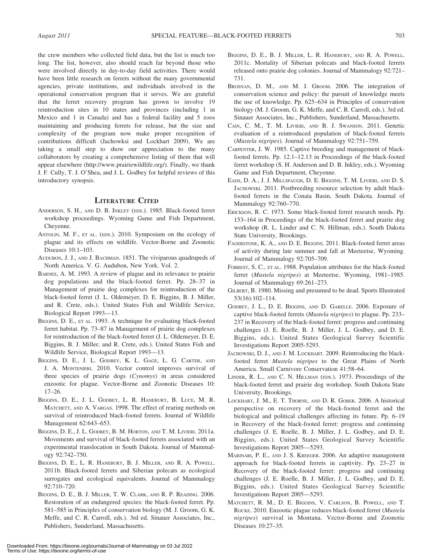the crew members who collected field data, but the list is much too long. The list, however, also should reach far beyond those who were involved directly in day-to-day field activities. There would have been little research on ferrets without the many governmental agencies, private institutions, and individuals involved in the operational conservation program that it serves. We are grateful that the ferret recovery program has grown to involve 19 reintroduction sites in 10 states and provinces (including 1 in Mexico and 1 in Canada) and has a federal facility and 5 zoos maintaining and producing ferrets for release, but the size and complexity of the program now make proper recognition of contributions difficult (Jachowksi and Lockhart 2009). We are taking a small step to show our appreciation to the many collaborators by creating a comprehensive listing of them that will appear elsewhere (http://www.prairiewildlife.org/). Finally, we thank J. F. Cully, T. J. O'Shea, and J. L. Godbey for helpful reviews of this introductory synopsis.

#### LITERATURE CITED

- ANDERSON, S. H., AND D. B. INKLEY (EDS.). 1985. Black-footed ferret workshop proceedings. Wyoming Game and Fish Department, Cheyenne.
- ANTOLIN, M. F., ET AL. (EDS.). 2010. Symposium on the ecology of plague and its effects on wildlife. Vector-Borne and Zoonotic Diseases 10:1–103.
- AUDUBON, J. J., AND J. BACHMAN. 1851. The viviparous quadrupeds of North America. V. G. Audubon, New York. Vol. 2.
- BARNES, A. M. 1993. A review of plague and its relevance to prairie dog populations and the black-footed ferret. Pp. 28–37 in Management of prairie dog complexes for reintroduction of the black-footed ferret (J. L. Oldemeyer, D. E. Biggins, B. J. Miller, and R. Crete, eds.). United States Fish and Wildlife Service, Biological Report 1993—13.
- BIGGINS, D. E., ET AL. 1993. A technique for evaluating black-footed ferret habitat. Pp. 73–87 in Management of prairie dog complexes for reintroduction of the black-footed ferret (J. L. Oldemeyer, D. E. Biggins, B. J. Miller, and R. Crete, eds.). United States Fish and Wildlife Service, Biological Report 1993—13.
- BIGGINS, D. E., J. L. GODBEY, K. L. GAGE, L. G. CARTER, AND J. A. MONTENIERI. 2010. Vector control improves survival of three species of prairie dogs (Cynomys) in areas considered enzootic for plague. Vector-Borne and Zoonotic Diseases 10: 17–26.
- BIGGINS, D. E., J. L. GODBEY, L. R. HANEBURY, B. LUCE, M. R. MATCHETT, AND A. VARGAS. 1998. The effect of rearing methods on survival of reintroduced black-footed ferrets. Journal of Wildlife Management 62:643–653.
- BIGGINS, D. E., J. L. GODBEY, B. M. HORTON, AND T. M. LIVIERI. 2011a. Movements and survival of black-footed ferrets associated with an experimental translocation in South Dakota. Journal of Mammalogy 92:742–750.
- BIGGINS, D. E., L. R. HANEBURY, B. J. MILLER, AND R. A. POWELL. 2011b. Black-footed ferrets and Siberian polecats as ecological surrogates and ecological equivalents. Journal of Mammalogy 92:710–720.
- BIGGINS, D. E., B. J. MILLER, T. W. CLARK, AND R. P. READING. 2006. Restoration of an endangered species: the black-footed ferret. Pp. 581–585 in Principles of conservation biology (M. J. Groom, G. K. Meffe, and C. R. Carroll, eds.). 3rd ed. Sinauer Associates, Inc., Publishers, Sunderland, Massachusetts.
- BIGGINS, D. E., B. J. MILLER, L. R. HANEBURY, AND R. A. POWELL. 2011c. Mortality of Siberian polecats and black-footed ferrets released onto prairie dog colonies. Journal of Mammalogy 92:721– 731.
- BROSNAN, D. M., AND M. J. GROOM. 2006. The integration of conservation science and policy: the pursuit of knowledge meets the use of knowledge. Pp. 625–634 in Principles of conservation biology (M. J. Groom, G. K. Meffe, and C. R. Carroll, eds.). 3rd ed. Sinauer Associates, Inc., Publishers, Sunderland, Massachusetts.
- CAIN, C. M., T. M. LIVIERI, AND B. J. SWANSON. 2011. Genetic evaluation of a reintroduced population of black-footed ferrets (Mustela nigripes). Journal of Mammalogy 92:751–759.
- CARPENTER, J. W. 1985. Captive breeding and management of blackfooted ferrets. Pp. 12.1–12.13 in Proceedings of the black-footed ferret workshop (S. H. Anderson and D. B. Inkley, eds.). Wyoming Game and Fish Department, Cheyenne.
- EADS, D. A., J. J. MILLSPAUGH, D. E. BIGGINS, T. M. LIVIERI, AND D. S. JACHOWSKI. 2011. Postbreeding resource selection by adult blackfooted ferrets in the Conata Basin, South Dakota. Journal of Mammalogy 92:760–770.
- ERICKSON, R. C. 1973. Some black-footed ferret research needs. Pp. 153–164 in Proceedings of the black-footed ferret and prairie dog workshop (R. L. Linder and C. N. Hillman, eds.). South Dakota State University, Brookings.
- FAGERSTONE, K. A., AND D. E. BIGGINS. 2011. Black-footed ferret areas of activity during late summer and fall at Meeteetse, Wyoming. Journal of Mammalogy 92:705–709.
- FORREST, S. C., ET AL. 1988. Population attributes for the black-footed ferret (Mustela nigripes) at Meeteetse, Wyoming, 1981-1985. Journal of Mammalogy 69:261–273.
- GILBERT, B. 1980. Missing and presumed to be dead. Sports Illustrated 53(16):102–114.
- GODBEY, J. L., D. E. BIGGINS, AND D. GARELLE. 2006. Exposure of captive black-footed ferrets (Mustela nigripes) to plague. Pp. 233– 237 in Recovery of the black-footed ferret: progress and continuing challenges (J. E. Roelle, B. J. Miller, J. L. Godbey, and D. E. Biggins, eds.). United States Geological Survey Scientific Investigations Report 2005-5293.
- JACHOWSKI, D. J., AND J. M. LOCKHART. 2009. Reintroducing the blackfooted ferret Mustela nigripes to the Great Plains of North America. Small Carnivore Conservation 41:58–64.
- LINDER, R. L., AND C. N. HILLMAN (EDS.). 1973. Proceedings of the black-footed ferret and prairie dog workshop. South Dakota State University, Brookings.
- LOCKHART, J. M., E. T. THORNE, AND D. R. GOBER. 2006. A historical perspective on recovery of the black-footed ferret and the biological and political challenges affecting its future. Pp. 6–19 in Recovery of the black-footed ferret: progress and continuing challenges (J. E. Roelle, B. J. Miller, J. L. Godbey, and D. E. Biggins, eds.). United States Geological Survey Scientific Investigations Report 2005—5293.
- MARINARI, P. E., AND J. S. KREEGER. 2006. An adaptive management approach for black-footed ferrets in captivity. Pp. 23–27 in Recovery of the black-footed ferret: progress and continuing challenges (J. E. Roelle, B. J. Miller, J. L. Godbey, and D. E. Biggins, eds.). United States Geological Survey Scientific Investigations Report 2005—5293.
- MATCHETT, R. M., D. E. BIGGINS, V. CARLSON, B. POWELL, AND T. ROCKE. 2010. Enzootic plague reduces black-footed ferret (Mustela nigripes) survival in Montana. Vector-Borne and Zoonotic Diseases 10:27–35.